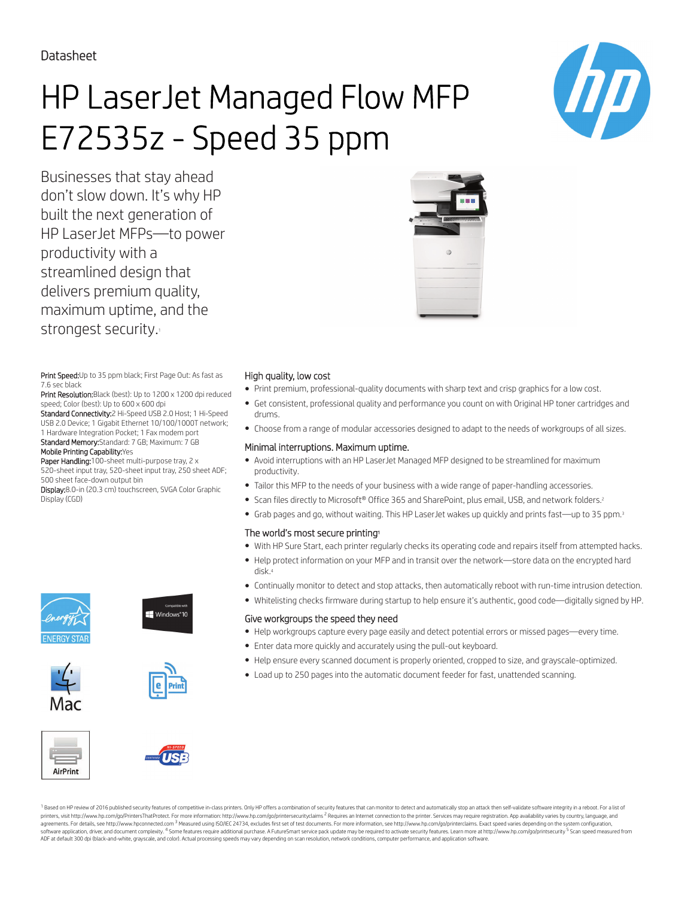Datasheet

# HP LaserJet Managed Flow MFP E72535z - Speed 35 ppm

Businesses that stay ahead don't slow down. It's why HP built the next generation of HP LaserJet MFPs—to power productivity with a streamlined design that delivers premium quality, maximum uptime, and the strongest security.

Print Speed: Up to 35 ppm black; First Page Out: As fast as 7.6 sec black

Print Resolution: Black (best): Up to 1200 x 1200 dpi reduced speed; Color (best): Up to 600 x 600 dpi

Standard Connectivity:2 Hi-Speed USB 2.0 Host; 1 Hi-Speed USB 2.0 Device; 1 Gigabit Ethernet 10/100/1000T network; 1 Hardware Integration Pocket; 1 Fax modem port Standard Memory:Standard: 7 GB; Maximum: 7 GB Mobile Printing Capability:Yes

Paper Handling:100-sheet multi-purpose tray, 2 x 520-sheet input tray, 520-sheet input tray, 250 sheet ADF; 500 sheet face-down output bin

Display:8.0-in (20.3 cm) touchscreen, SVGA Color Graphic Display (CGD)

















- Print premium, professional-quality documents with sharp text and crisp graphics for a low cost.
- Get consistent, professional quality and performance you count on with Original HP toner cartridges and drums.
- Choose from a range of modular accessories designed to adapt to the needs of workgroups of all sizes.

### Minimal interruptions. Maximum uptime.

- Avoid interruptions with an HP LaserJet Managed MFP designed to be streamlined for maximum productivity.
- Tailor this MFP to the needs of your business with a wide range of paper-handling accessories.
- Scan files directly to Microsoft® Office 365 and SharePoint, plus email, USB, and network folders.<sup>2</sup>
- Grab pages and go, without waiting. This HP LaserJet wakes up quickly and prints fast—up to 35 ppm.<sup>3</sup>

### The world's most secure printing<sup>1</sup>

- With HP Sure Start, each printer regularly checks its operating code and repairs itself from attempted hacks.
- Help protect information on your MFP and in transit over the network—store data on the encrypted hard disk.<sup>4</sup>
- Continually monitor to detect and stop attacks, then automatically reboot with run-time intrusion detection.
- Whitelisting checks firmware during startup to help ensure it's authentic, good code—digitally signed by HP.

#### Give workgroups the speed they need

- Help workgroups capture every page easily and detect potential errors or missed pages—every time.
- Enter data more quickly and accurately using the pull-out keyboard.
- Help ensure every scanned document is properly oriented, cropped to size, and grayscale-optimized.
- Load up to 250 pages into the automatic document feeder for fast, unattended scanning.

AirPrint



<sup>1</sup> Based on HP review of 2016 published security features of competitive in-class printers. Only HP offers a combination of security features that can monitor to detect and automatically stop an attack then self-validate printers, visit http://www.hp.com/go/PrintersThatProtect. For more information: http://www.hp.com/go/printersecurityclaims <sup>2</sup> Requires an Internet connection to the printer. Services may require registration. App availabi parameter and the comparameter and the main term of the comparameter and the comparameter and the comparameter and the comparameter and the comparameter and the comparameter and the comparameter and the comparameter and th software application, driver, and document complexity. <sup>4</sup> Some features require additional purchase. A FutureSmart service pack update may be required to activate security features. Learn more at http://www.hp.com/go/prin